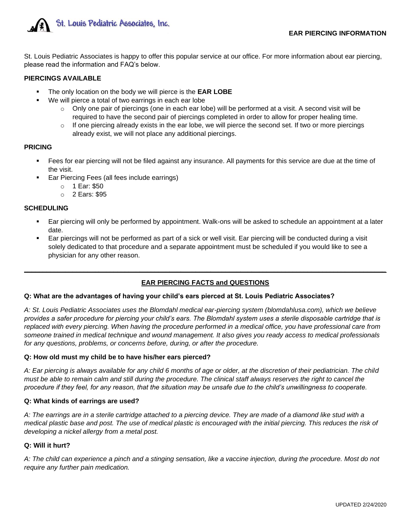

St. Louis Pediatric Associates is happy to offer this popular service at our office. For more information about ear piercing, please read the information and FAQ's below.

## **PIERCINGS AVAILABLE**

- The only location on the body we will pierce is the **EAR LOBE**
- We will pierce a total of two earrings in each ear lobe
	- $\circ$  Only one pair of piercings (one in each ear lobe) will be performed at a visit. A second visit will be required to have the second pair of piercings completed in order to allow for proper healing time.
	- $\circ$  If one piercing already exists in the ear lobe, we will pierce the second set. If two or more piercings already exist, we will not place any additional piercings.

## **PRICING**

- Fees for ear piercing will not be filed against any insurance. All payments for this service are due at the time of the visit.
- Ear Piercing Fees (all fees include earrings)
	- o 1 Ear: \$50
	- o 2 Ears: \$95

## **SCHEDULING**

- Ear piercing will only be performed by appointment. Walk-ons will be asked to schedule an appointment at a later date.
- Ear piercings will not be performed as part of a sick or well visit. Ear piercing will be conducted during a visit solely dedicated to that procedure and a separate appointment must be scheduled if you would like to see a physician for any other reason.

# **EAR PIERCING FACTS and QUESTIONS**

**\_\_\_\_\_\_\_\_\_\_\_\_\_\_\_\_\_\_\_\_\_\_\_\_\_\_\_\_\_\_\_\_\_\_\_\_\_\_\_\_\_\_\_\_\_\_\_\_\_\_\_\_\_\_\_\_\_\_\_\_\_\_\_\_\_\_\_\_\_\_\_\_\_\_\_\_\_\_\_\_\_\_\_\_\_\_\_\_\_\_\_\_\_\_\_\_\_**

### **Q: What are the advantages of having your child's ears pierced at St. Louis Pediatric Associates?**

*A: St. Louis Pediatric Associates uses the Blomdahl medical ear-piercing system (blomdahlusa.com), which we believe provides a safer procedure for piercing your child's ears. The Blomdahl system uses a sterile disposable cartridge that is replaced with every piercing. When having the procedure performed in a medical office, you have professional care from someone trained in medical technique and wound management. It also gives you ready access to medical professionals*  for any questions, problems, or concerns before, during, or after the procedure.

### **Q: How old must my child be to have his/her ears pierced?**

*A: Ear piercing is always available for any child 6 months of age or older, at the discretion of their pediatrician. The child must be able to remain calm and still during the procedure. The clinical staff always reserves the right to cancel the procedure if they feel, for any reason, that the situation may be unsafe due to the child's unwillingness to cooperate.* 

### **Q: What kinds of earrings are used?**

*A: The earrings are in a sterile cartridge attached to a piercing device. They are made of a diamond like stud with a medical plastic base and post. The use of medical plastic is encouraged with the initial piercing. This reduces the risk of developing a nickel allergy from a metal post.*

### **Q: Will it hurt?**

*A: The child can experience a pinch and a stinging sensation, like a vaccine injection, during the procedure. Most do not require any further pain medication.*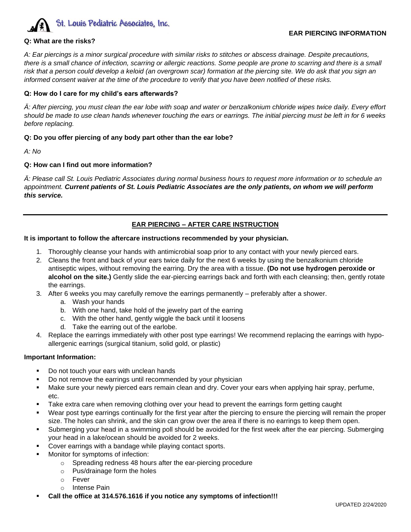

### **Q: What are the risks?**

*A: Ear piercings is a minor surgical procedure with similar risks to stitches or abscess drainage. Despite precautions, there is a small chance of infection, scarring or allergic reactions. Some people are prone to scarring and there is a small risk that a person could develop a keloid (an overgrown scar) formation at the piercing site. We do ask that you sign an informed consent waiver at the time of the procedure to verify that you have been notified of these risks.* 

### **Q: How do I care for my child's ears afterwards?**

*Ä: After piercing, you must clean the ear lobe with soap and water or benzalkonium chloride wipes twice daily. Every effort should be made to use clean hands whenever touching the ears or earrings. The initial piercing must be left in for 6 weeks before replacing.* 

### **Q: Do you offer piercing of any body part other than the ear lobe?**

*A: No*

### **Q: How can I find out more information?**

*Ä: Please call St. Louis Pediatric Associates during normal business hours to request more information or to schedule an appointment. Current patients of St. Louis Pediatric Associates are the only patients, on whom we will perform this service.* 

### **EAR PIERCING – AFTER CARE INSTRUCTION**

#### **It is important to follow the aftercare instructions recommended by your physician.**

- 1. Thoroughly cleanse your hands with antimicrobial soap prior to any contact with your newly pierced ears.
- 2. Cleans the front and back of your ears twice daily for the next 6 weeks by using the benzalkonium chloride antiseptic wipes, without removing the earring. Dry the area with a tissue. **(Do not use hydrogen peroxide or alcohol on the site.)** Gently slide the ear-piercing earrings back and forth with each cleansing; then, gently rotate the earrings.
- 3. After 6 weeks you may carefully remove the earrings permanently preferably after a shower.
	- a. Wash your hands
	- b. With one hand, take hold of the jewelry part of the earring
	- c. With the other hand, gently wiggle the back until it loosens
	- d. Take the earring out of the earlobe.
- 4. Replace the earrings immediately with other post type earrings! We recommend replacing the earrings with hypoallergenic earrings (surgical titanium, solid gold, or plastic)

#### **Important Information:**

- Do not touch your ears with unclean hands
- Do not remove the earrings until recommended by your physician
- Make sure your newly pierced ears remain clean and dry. Cover your ears when applying hair spray, perfume, etc.
- Take extra care when removing clothing over your head to prevent the earrings form getting caught
- Wear post type earrings continually for the first year after the piercing to ensure the piercing will remain the proper size. The holes can shrink, and the skin can grow over the area if there is no earrings to keep them open.
- Submerging your head in a swimming poll should be avoided for the first week after the ear piercing. Submerging your head in a lake/ocean should be avoided for 2 weeks.
- Cover earrings with a bandage while playing contact sports.
- Monitor for symptoms of infection:
	- o Spreading redness 48 hours after the ear-piercing procedure
		- o Pus/drainage form the holes
	- o Fever
	- o Intense Pain
- **Call the office at 314.576.1616 if you notice any symptoms of infection!!!**